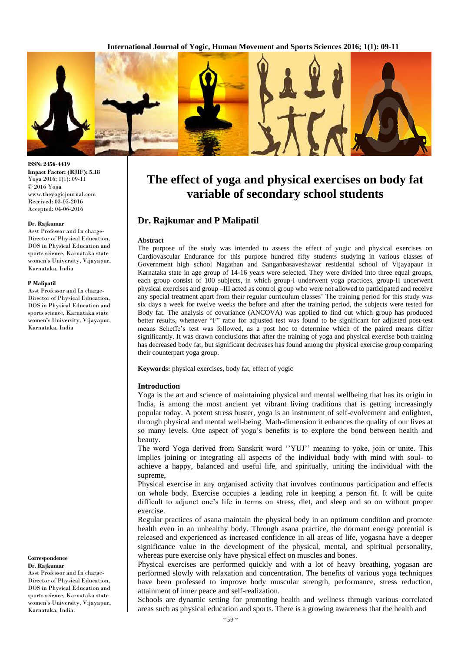

#### **ISSN: 2456-4419 Impact Factor: (RJIF): 5.18** Yoga 2016; 1(1): 09-11 © 2016 Yoga www.theyogicjournal.com Received: 03-05-2016 Accepted: 04-06-2016

#### **Dr. Rajkumar**

Asst Professor and In charge-Director of Physical Education, DOS in Physical Education and sports science, Karnataka state women's University, Vijayapur, Karnataka, India

#### **P Malipatil**

Asst Professor and In charge-Director of Physical Education, DOS in Physical Education and sports science, Karnataka state women's University, Vijayapur, Karnataka, India

**Correspondence Dr. Rajkumar**

Asst Professor and In charge-Director of Physical Education, DOS in Physical Education and sports science, Karnataka state women's University, Vijayapur, Karnataka, India.

# **The effect of yoga and physical exercises on body fat variable of secondary school students**

# **Dr. Rajkumar and P Malipatil**

#### **Abstract**

The purpose of the study was intended to assess the effect of yogic and physical exercises on Cardiovascular Endurance for this purpose hundred fifty students studying in various classes of Government high school Nagathan and Sanganbasaveshawar residential school of Vijayapaur in Karnataka state in age group of 14-16 years were selected. They were divided into three equal groups, each group consist of 100 subjects, in which group-I underwent yoga practices, group-II underwent physical exercises and group –III acted as control group who were not allowed to participated and receive any special treatment apart from their regular curriculum classes' The training period for this study was six days a week for twelve weeks the before and after the training period, the subjects were tested for Body fat. The analysis of covariance (ANCOVA) was applied to find out which group has produced better results, whenever "F" ratio for adjusted test was found to be significant for adjusted post-test means Scheffe's test was followed, as a post hoc to determine which of the paired means differ significantly. It was drawn conclusions that after the training of yoga and physical exercise both training has decreased body fat, but significant decreases has found among the physical exercise group comparing their counterpart yoga group.

**Keywords:** physical exercises, body fat, effect of yogic

#### **Introduction**

Yoga is the art and science of maintaining physical and mental wellbeing that has its origin in India, is among the most ancient yet vibrant living traditions that is getting increasingly popular today. A potent stress buster, yoga is an instrument of self-evolvement and enlighten, through physical and mental well-being. Math-dimension it enhances the quality of our lives at so many levels. One aspect of yoga's benefits is to explore the bond between health and beauty.

The word Yoga derived from Sanskrit word ''YUJ'' meaning to yoke, join or unite. This implies joining or integrating all aspects of the individual body with mind with soul- to achieve a happy, balanced and useful life, and spiritually, uniting the individual with the supreme,

Physical exercise in any organised activity that involves continuous participation and effects on whole body. Exercise occupies a leading role in keeping a person fit. It will be quite difficult to adjunct one's life in terms on stress, diet, and sleep and so on without proper exercise.

Regular practices of asana maintain the physical body in an optimum condition and promote health even in an unhealthy body. Through asana practice, the dormant energy potential is released and experienced as increased confidence in all areas of life, yogasna have a deeper significance value in the development of the physical, mental, and spiritual personality, whereas pure exercise only have physical effect on muscles and bones.

Physical exercises are performed quickly and with a lot of heavy breathing, yogasan are performed slowly with relaxation and concentration. The benefits of various yoga techniques have been professed to improve body muscular strength, performance, stress reduction, attainment of inner peace and self-realization.

Schools are dynamic setting for promoting health and wellness through various correlated areas such as physical education and sports. There is a growing awareness that the health and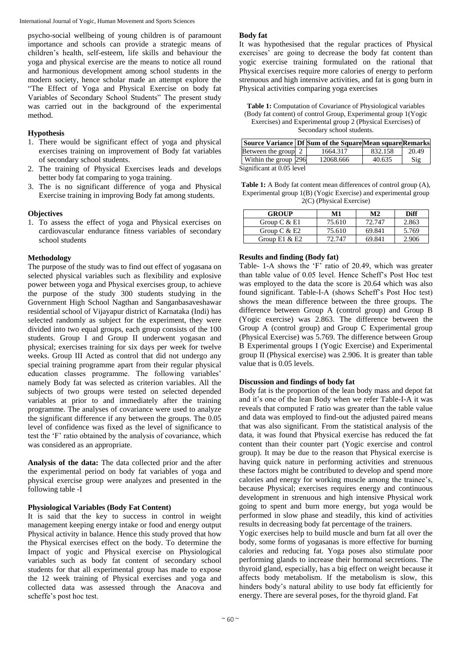International Journal of Yogic, Human Movement and Sports Sciences

psycho-social wellbeing of young children is of paramount importance and schools can provide a strategic means of children's health, self-esteem, life skills and behaviour the yoga and physical exercise are the means to notice all round and harmonious development among school students in the modern society, hence scholar made an attempt explore the "The Effect of Yoga and Physical Exercise on body fat Variables of Secondary School Students" The present study was carried out in the background of the experimental method.

## **Hypothesis**

- 1. There would be significant effect of yoga and physical exercises training on improvement of Body fat variables of secondary school students.
- 2. The training of Physical Exercises leads and develops better body fat comparing to yoga training.
- 3. The is no significant difference of yoga and Physical Exercise training in improving Body fat among students.

# **Objectives**

1. To assess the effect of yoga and Physical exercises on cardiovascular endurance fitness variables of secondary school students

### **Methodology**

The purpose of the study was to find out effect of yogasana on selected physical variables such as flexibility and explosive power between yoga and Physical exercises group, to achieve the purpose of the study 300 students studying in the Government High School Nagthan and Sanganbasaveshawar residential school of Vijayapur district of Karnataka (Indi) has selected randomly as subject for the experiment, they were divided into two equal groups, each group consists of the 100 students. Group I and Group II underwent yogasan and physical; exercises training for six days per week for twelve weeks. Group III Acted as control that did not undergo any special training programme apart from their regular physical education classes programme. The following variables' namely Body fat was selected as criterion variables. All the subjects of two groups were tested on selected depended variables at prior to and immediately after the training programme. The analyses of covariance were used to analyze the significant difference if any between the groups. The 0.05 level of confidence was fixed as the level of significance to test the 'F' ratio obtained by the analysis of covariance, which was considered as an appropriate.

**Analysis of the data:** The data collected prior and the after the experimental period on body fat variables of yoga and physical exercise group were analyzes and presented in the following table -I

# **Physiological Variables (Body Fat Content)**

It is said that the key to success in control in weight management keeping energy intake or food and energy output Physical activity in balance. Hence this study proved that how the Physical exercises effect on the body. To determine the Impact of yogic and Physical exercise on Physiological variables such as body fat content of secondary school students for that all experimental group has made to expose the 12 week training of Physical exercises and yoga and collected data was assessed through the Anacova and scheffe's post hoc test.

## **Body fat**

It was hypothesised that the regular practices of Physical exercises' are going to decrease the body fat content than yogic exercise training formulated on the rational that Physical exercises require more calories of energy to perform strenuous and high intensive activities, and fat is gong burn in Physical activities comparing yoga exercises

**Table 1:** Computation of Covariance of Physiological variables (Body fat content) of control Group, Experimental group 1(Yogic Exercises) and Experimental group 2 (Physical Exercises) of Secondary school students.

|                           |  | Source Variance Df Sum of the SquareMean squareRemarks |         |                |  |
|---------------------------|--|--------------------------------------------------------|---------|----------------|--|
| Between the group 2       |  | 1664.317                                               | 832.158 | 20.49          |  |
| Within the group 296      |  | 12068.666                                              | 40.635  | $\mathrm{Sig}$ |  |
| Significant at 0.05 level |  |                                                        |         |                |  |

ignificant at 0.05

| <b>Table 1:</b> A Body fat content mean differences of control group (A), |
|---------------------------------------------------------------------------|
| Experimental group 1(B) (Yogic Exercise) and experimental group           |
| $2(C)$ (Physical Exercise)                                                |

| <b>GROUP</b>     | M1     | M2     | <b>Diff</b> |
|------------------|--------|--------|-------------|
| Group $C & E1$   | 75.610 | 72.747 | 2.863       |
| Group C $&E2$    | 75.610 | 69.841 | 5.769       |
| Group $E1 \& E2$ | 72.747 | 69.841 | 2.906       |

### **Results and finding (Body fat)**

Table- 1-A shows the 'F' ratio of 20.49, which was greater than table value of 0.05 level. Hence Scheff's Post Hoc test was employed to the data the score is 20.64 which was also found significant. Table-I-A (shows Scheff's Post Hoc test) shows the mean difference between the three groups. The difference between Group A (control group) and Group B (Yogic exercise) was 2.863. The difference between the Group A (control group) and Group C Experimental group (Physical Exercise) was 5.769. The difference between Group B Experimental groups I (Yogic Exercise) and Experimental group II (Physical exercise) was 2.906. It is greater than table value that is 0.05 levels.

# **Discussion and findings of body fat**

Body fat is the proportion of the lean body mass and depot fat and it's one of the lean Body when we refer Table-I-A it was reveals that computed F ratio was greater than the table value and data was employed to find-out the adjusted paired means that was also significant. From the statistical analysis of the data, it was found that Physical exercise has reduced the fat content than their counter part (Yogic exercise and control group). It may be due to the reason that Physical exercise is having quick nature in performing activities and strenuous these factors might be contributed to develop and spend more calories and energy for working muscle among the trainee's, because Physical; exercises requires energy and continuous development in strenuous and high intensive Physical work going to spent and burn more energy, but yoga would be performed in slow phase and steadily, this kind of activities results in decreasing body fat percentage of the trainers.

Yogic exercises help to build muscle and burn fat all over the body, some forms of yogasanas is more effective for burning calories and reducing fat. Yoga poses also stimulate poor performing glands to increase their hormonal secretions. The thyroid gland, especially, has a big effect on weight because it affects body metabolism. If the metabolism is slow, this hinders body's natural ability to use body fat efficiently for energy. There are several poses, for the thyroid gland. Fat